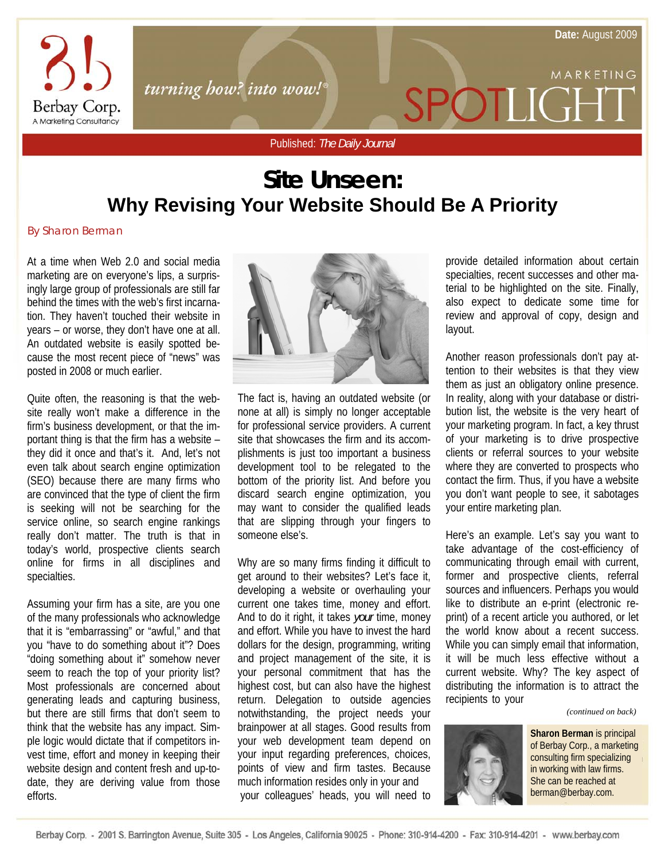MARKETING



turning how? into wow!

Published: *The Daily Journal*

## **Site Unseen: Why Revising Your Website Should Be A Priority**

By Sharon Berman

At a time when Web 2.0 and social media marketing are on everyone's lips, a surprisingly large group of professionals are still far behind the times with the web's first incarnation. They haven't touched their website in years – or worse, they don't have one at all. An outdated website is easily spotted because the most recent piece of "news" was posted in 2008 or much earlier.

Quite often, the reasoning is that the website really won't make a difference in the firm's business development, or that the important thing is that the firm has a website – they did it once and that's it. And, let's not even talk about search engine optimization (SEO) because there are many firms who are convinced that the type of client the firm is seeking will not be searching for the service online, so search engine rankings really don't matter. The truth is that in today's world, prospective clients search online for firms in all disciplines and specialties.

Assuming your firm has a site, are you one of the many professionals who acknowledge that it is "embarrassing" or "awful," and that you "have to do something about it"? Does "doing something about it" somehow never seem to reach the top of your priority list? Most professionals are concerned about generating leads and capturing business, but there are still firms that don't seem to think that the website has any impact. Simple logic would dictate that if competitors invest time, effort and money in keeping their website design and content fresh and up-todate, they are deriving value from those efforts.



The fact is, having an outdated website (or none at all) is simply no longer acceptable for professional service providers. A current site that showcases the firm and its accomplishments is just too important a business development tool to be relegated to the bottom of the priority list. And before you discard search engine optimization, you may want to consider the qualified leads that are slipping through your fingers to someone else's.

Why are so many firms finding it difficult to get around to their websites? Let's face it, developing a website or overhauling your current one takes time, money and effort. And to do it right, it takes *your* time, money and effort. While you have to invest the hard dollars for the design, programming, writing and project management of the site, it is your personal commitment that has the highest cost, but can also have the highest return. Delegation to outside agencies notwithstanding, the project needs your brainpower at all stages. Good results from your web development team depend on your input regarding preferences, choices, points of view and firm tastes. Because much information resides only in your and your colleagues' heads, you will need to

provide detailed information about certain specialties, recent successes and other material to be highlighted on the site. Finally, also expect to dedicate some time for review and approval of copy, design and layout.

SPOTLIGI

Another reason professionals don't pay attention to their websites is that they view them as just an obligatory online presence. In reality, along with your database or distribution list, the website is the very heart of your marketing program. In fact, a key thrust of your marketing is to drive prospective clients or referral sources to your website where they are converted to prospects who contact the firm. Thus, if you have a website you don't want people to see, it sabotages your entire marketing plan.

Here's an example. Let's say you want to take advantage of the cost-efficiency of communicating through email with current, former and prospective clients, referral sources and influencers. Perhaps you would like to distribute an e-print (electronic reprint) of a recent article you authored, or let the world know about a recent success. While you can simply email that information, it will be much less effective without a current website. Why? The key aspect of distributing the information is to attract the recipients to your

*(continued on back)* 



**Sharon Berman** is principal of Berbay Corp., a marketing consulting firm specializing in working with law firms. She can be reached at berman@berbay.com.